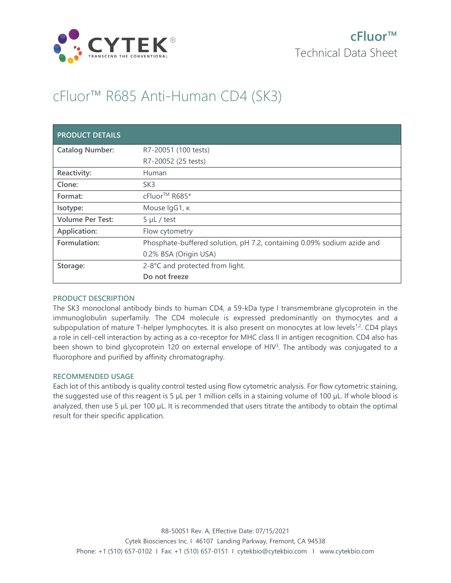

# cFluor™ R685 Anti-Human CD4 (SK3)

| <b>PRODUCT DETAILS</b>  |                                                                        |
|-------------------------|------------------------------------------------------------------------|
| <b>Catalog Number:</b>  | R7-20051 (100 tests)                                                   |
|                         | R7-20052 (25 tests)                                                    |
| Reactivity:             | Human                                                                  |
| Clone:                  | SK <sub>3</sub>                                                        |
| Format:                 | cFluor <sup>™</sup> R685*                                              |
| Isotype:                | Mouse IgG1, к                                                          |
| <b>Volume Per Test:</b> | $5 \mu L$ / test                                                       |
| Application:            | Flow cytometry                                                         |
| Formulation:            | Phosphate-buffered solution, pH 7.2, containing 0.09% sodium azide and |
|                         | 0.2% BSA (Origin USA)                                                  |
| Storage:                | 2-8°C and protected from light.                                        |
|                         | Do not freeze                                                          |

# **PRODUCT DESCRIPTION**

The SK3 monoclonal antibody binds to human CD4, a 59-kDa type I transmembrane glycoprotein in the immunoglobulin superfamily. The CD4 molecule is expressed predominantly on thymocytes and a subpopulation of mature T-helper lymphocytes. It is also present on monocytes at low levels<sup>1,2</sup>. CD4 plays a role in cell-cell interaction by acting as a co-receptor for MHC class II in antigen recognition. CD4 also has been shown to bind glycoprotein 120 on external envelope of HIV<sup>3</sup>. The antibody was conjugated to a fluorophore and purified by affinity chromatography.

# **RECOMMENDED USAGE**

Each lot of this antibody is quality control tested using flow cytometric analysis. For flow cytometric staining, the suggested use of this reagent is 5 µL per 1 million cells in a staining volume of 100 µL. If whole blood is analyzed, then use 5 µL per 100 µL. It is recommended that users titrate the antibody to obtain the optimal result for their specific application.